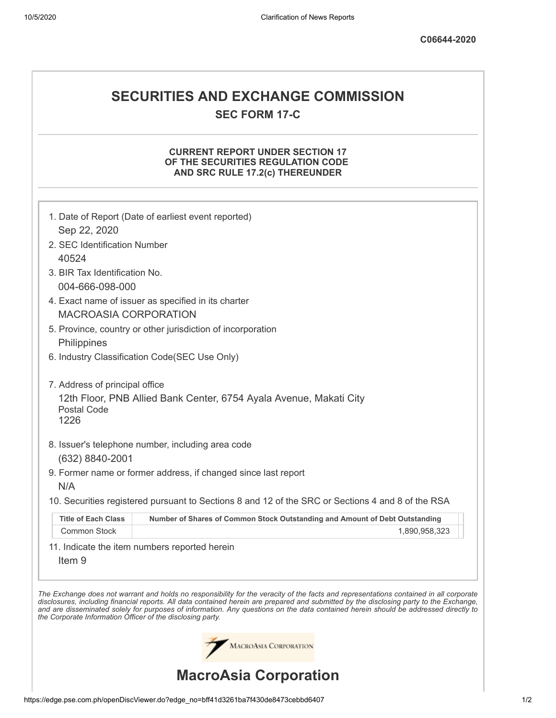## **SECURITIES AND EXCHANGE COMMISSION SEC FORM 17-C**

## **CURRENT REPORT UNDER SECTION 17 OF THE SECURITIES REGULATION CODE AND SRC RULE 17.2(c) THEREUNDER**

|                                                                                     | 1. Date of Report (Date of earliest event reported)                                                                                                                                                                                                                            |  |  |
|-------------------------------------------------------------------------------------|--------------------------------------------------------------------------------------------------------------------------------------------------------------------------------------------------------------------------------------------------------------------------------|--|--|
| Sep 22, 2020                                                                        |                                                                                                                                                                                                                                                                                |  |  |
| 2. SEC Identification Number                                                        |                                                                                                                                                                                                                                                                                |  |  |
| 40524                                                                               |                                                                                                                                                                                                                                                                                |  |  |
| 3. BIR Tax Identification No.                                                       |                                                                                                                                                                                                                                                                                |  |  |
| 004-666-098-000                                                                     |                                                                                                                                                                                                                                                                                |  |  |
| 4. Exact name of issuer as specified in its charter<br><b>MACROASIA CORPORATION</b> |                                                                                                                                                                                                                                                                                |  |  |
|                                                                                     |                                                                                                                                                                                                                                                                                |  |  |
|                                                                                     | 5. Province, country or other jurisdiction of incorporation                                                                                                                                                                                                                    |  |  |
| Philippines                                                                         |                                                                                                                                                                                                                                                                                |  |  |
|                                                                                     | 6. Industry Classification Code(SEC Use Only)                                                                                                                                                                                                                                  |  |  |
| 7. Address of principal office                                                      |                                                                                                                                                                                                                                                                                |  |  |
| 12th Floor, PNB Allied Bank Center, 6754 Ayala Avenue, Makati City                  |                                                                                                                                                                                                                                                                                |  |  |
| <b>Postal Code</b>                                                                  |                                                                                                                                                                                                                                                                                |  |  |
| 1226                                                                                |                                                                                                                                                                                                                                                                                |  |  |
|                                                                                     | 8. Issuer's telephone number, including area code                                                                                                                                                                                                                              |  |  |
| (632) 8840-2001                                                                     |                                                                                                                                                                                                                                                                                |  |  |
|                                                                                     | 9. Former name or former address, if changed since last report                                                                                                                                                                                                                 |  |  |
| N/A                                                                                 |                                                                                                                                                                                                                                                                                |  |  |
|                                                                                     | 10. Securities registered pursuant to Sections 8 and 12 of the SRC or Sections 4 and 8 of the RSA                                                                                                                                                                              |  |  |
| <b>Title of Each Class</b>                                                          | Number of Shares of Common Stock Outstanding and Amount of Debt Outstanding                                                                                                                                                                                                    |  |  |
| Common Stock                                                                        | 1,890,958,323                                                                                                                                                                                                                                                                  |  |  |
|                                                                                     | 11. Indicate the item numbers reported herein                                                                                                                                                                                                                                  |  |  |
| Item <sub>9</sub>                                                                   |                                                                                                                                                                                                                                                                                |  |  |
|                                                                                     |                                                                                                                                                                                                                                                                                |  |  |
|                                                                                     | The Exchange does not warrant and holds no responsibility for the veracity of the facts and representations contained in all corporate                                                                                                                                         |  |  |
|                                                                                     | disclosures, including financial reports. All data contained herein are prepared and submitted by the disclosing party to the Exchange,<br>and are disseminated solely for purposes of information. Any questions on the data contained herein should be addressed directly to |  |  |
| the Corporate Information Officer of the disclosing party.                          |                                                                                                                                                                                                                                                                                |  |  |
|                                                                                     |                                                                                                                                                                                                                                                                                |  |  |
|                                                                                     | MACROASIA CORPORATION                                                                                                                                                                                                                                                          |  |  |
|                                                                                     |                                                                                                                                                                                                                                                                                |  |  |
|                                                                                     | <b>MacroAsia Corporation</b>                                                                                                                                                                                                                                                   |  |  |